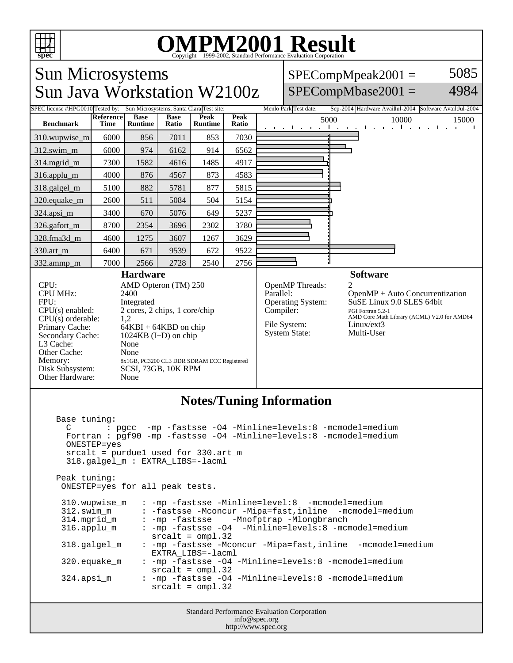

# OMPM2001 Result to Evaluation Corporation

Sun Microsystems Sun Java Workstation W2100z  $SPECompMpeak2001 =$  $SPECompMbase2001 =$ 5085 4984 SPEC license #HPG0010 Tested by: Sun Microsystems, Santa Clara Test site: Menlo Park Test date: Sep-2004 Hardware Availul-2004 Software Avail:Jul-2004 **Benchmark Reference Time Base Runtime Base Ratio Peak Runtime Peak Peak**<br>**Ratio** 5000 10000 15000 310.wupwise\_m 6000 856 7011 853 7030 312.swim\_m 6000 974 6162 914 6562 314.mgrid\_m | 7300 | 1582 | 4616 | 1485 | 4917 316.applu\_m 4000 876 4567 873 4583 318.galgel\_m | 5100 | 882 | 5781 | 877 | 5815 320.equake\_m | 2600 | 511 | 5084 | 504 | 5154 324.apsi\_m | 3400 670 5076 649 5237 326.gafort\_m | 8700 | 2354 | 3696 | 2302 | 3780 328.fma3d\_m | 4600 | 1275 | 3607 | 1267 | 3629 330.art\_m 6400 671 9539 672 9522 332.ammp\_m | 7000 | 2566 | 2728 | 2540 | 2756 **Hardware** CPU: AMD Opteron (TM) 250 CPU MHz: 2400 FPU: Integrated  $CPU(s)$  enabled:  $2$  cores, 2 chips, 1 core/chip<br>CPU(s) orderable:  $1,2$ CPU(s) orderable:<br>Primary Cache: Primary Cache: 64KBI + 64KBD on chip<br>Secondary Cache: 1024KB (I+D) on chip  $1024KB$  (I+D) on chip L3 Cache: None Other Cache: None Memory: 8x1GB, PC3200 CL3 DDR SDRAM ECC Registered<br>Disk Subsystem: SCSI, 73GB, 10K RPM SCSI, 73GB, 10K RPM Other Hardware: None **Software** OpenMP Threads:<br>Parallel: OpenMP + Auto Concurrentization Operating System: SuSE Linux 9.0 SLES 64bit Compiler: PGI Fortran 5.2-1<br>AMD Core Math Library (ACML) V2.0 for AMD64 File System: Linux/ext3 System State: Multi-User

### **Notes/Tuning Information**

Base tuning:<br> $C$  : : pgcc -mp -fastsse -04 -Minline=levels:8 -mcmodel=medium Fortran : pgf90 -mp -fastsse -O4 -Minline=levels:8 -mcmodel=medium ONESTEP=yes srcalt =  $purduel$  used for 330.art  $m$  318.galgel\_m : EXTRA\_LIBS=-lacml Peak tuning: ONESTEP=yes for all peak tests. 310.wupwise\_m : -mp -fastsse -Minline=level:8 -mcmodel=medium 312.swim\_m : -fastsse -Mconcur -Mipa=fast,inline -mcmodel=medium 314.mgrid\_m : -mp -fastsse -Mnofptrap -Mlongbranch : -mp -fastsse -O4 -Minline=levels:8 -mcmodel=medium srcalt = ompl.32 318.galgel\_m : -mp -fastsse -Mconcur -Mipa=fast,inline -mcmodel=medium EXTRA\_LIBS=-lacml 320.equake\_m : -mp -fastsse -O4 -Minline=levels:8 -mcmodel=medium srcalt = ompl.32 : -mp -fastsse -O4 -Minline=levels:8 -mcmodel=medium srcalt = ompl.32

> Standard Performance Evaluation Corporation info@spec.org http://www.spec.org